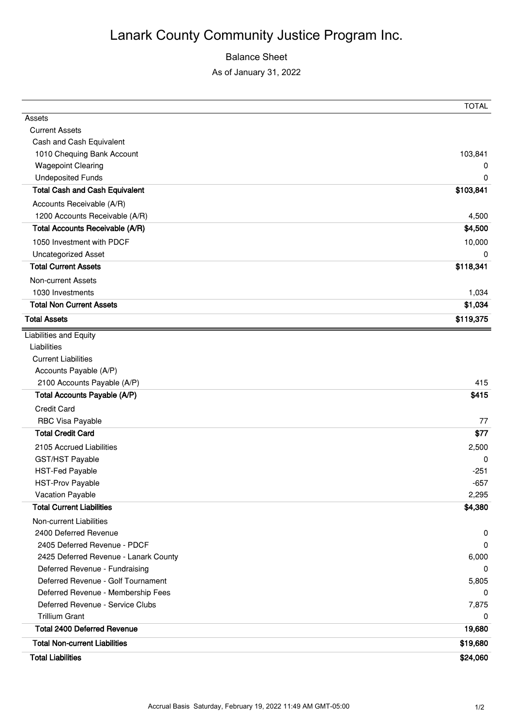## Lanark County Community Justice Program Inc.

## Balance Sheet

As of January 31, 2022

|                                        | <b>TOTAL</b> |
|----------------------------------------|--------------|
| Assets                                 |              |
| <b>Current Assets</b>                  |              |
| Cash and Cash Equivalent               |              |
| 1010 Chequing Bank Account             | 103,841      |
| <b>Wagepoint Clearing</b>              | 0            |
| <b>Undeposited Funds</b>               | 0            |
| <b>Total Cash and Cash Equivalent</b>  | \$103,841    |
| Accounts Receivable (A/R)              |              |
| 1200 Accounts Receivable (A/R)         | 4,500        |
| <b>Total Accounts Receivable (A/R)</b> | \$4,500      |
| 1050 Investment with PDCF              | 10,000       |
| Uncategorized Asset                    | 0            |
| <b>Total Current Assets</b>            | \$118,341    |
| Non-current Assets                     |              |
| 1030 Investments                       | 1,034        |
| <b>Total Non Current Assets</b>        | \$1,034      |
| <b>Total Assets</b>                    | \$119,375    |
| <b>Liabilities and Equity</b>          |              |
| Liabilities                            |              |
| <b>Current Liabilities</b>             |              |
| Accounts Payable (A/P)                 |              |
| 2100 Accounts Payable (A/P)            | 415          |
| <b>Total Accounts Payable (A/P)</b>    | \$415        |
| <b>Credit Card</b>                     |              |
| RBC Visa Payable                       | 77           |
| <b>Total Credit Card</b>               | \$77         |
| 2105 Accrued Liabilities               | 2,500        |
| GST/HST Payable                        | 0            |
| <b>HST-Fed Payable</b>                 | $-251$       |
| <b>HST-Prov Payable</b>                | $-657$       |
| Vacation Payable                       | 2,295        |
| <b>Total Current Liabilities</b>       | \$4,380      |
| Non-current Liabilities                |              |
| 2400 Deferred Revenue                  | 0            |
| 2405 Deferred Revenue - PDCF           | 0            |
| 2425 Deferred Revenue - Lanark County  | 6,000        |
| Deferred Revenue - Fundraising         | 0            |
| Deferred Revenue - Golf Tournament     | 5,805        |
| Deferred Revenue - Membership Fees     | 0            |
| Deferred Revenue - Service Clubs       | 7,875        |
| <b>Trillium Grant</b>                  | 0            |
| <b>Total 2400 Deferred Revenue</b>     | 19,680       |
| <b>Total Non-current Liabilities</b>   | \$19,680     |
| <b>Total Liabilities</b>               | \$24,060     |